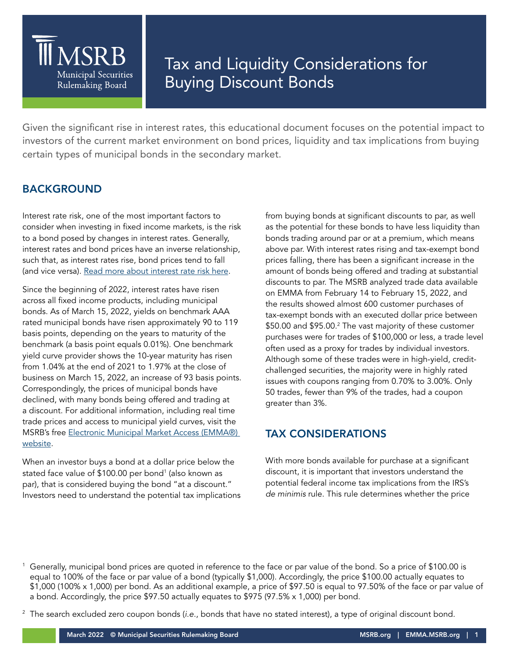## **MSRR Municipal Securities** Rulemaking Board

# Tax and Liquidity Considerations for Buying Discount Bonds

Given the significant rise in interest rates, this educational document focuses on the potential impact to investors of the current market environment on bond prices, liquidity and tax implications from buying certain types of municipal bonds in the secondary market.

### BACKGROUND

Interest rate risk, one of the most important factors to consider when investing in fixed income markets, is the risk to a bond posed by changes in interest rates. Generally, interest rates and bond prices have an inverse relationship, such that, as interest rates rise, bond prices tend to fall (and vice versa). [Read more about interest rate risk here.](https://www.msrb.org/msrb1/pdfs/Interest-Rate-Movement.pdf)

Since the beginning of 2022, interest rates have risen across all fixed income products, including municipal bonds. As of March 15, 2022, yields on benchmark AAA rated municipal bonds have risen approximately 90 to 119 basis points, depending on the years to maturity of the benchmark (a basis point equals 0.01%). One benchmark yield curve provider shows the 10-year maturity has risen from 1.04% at the end of 2021 to 1.97% at the close of business on March 15, 2022, an increase of 93 basis points. Correspondingly, the prices of municipal bonds have declined, with many bonds being offered and trading at a discount. For additional information, including real time trade prices and access to municipal yield curves, visit the MSRB's free [Electronic Municipal Market Access \(EMMA®\)](https://emma.msrb.org)  [website](https://emma.msrb.org).

When an investor buys a bond at a dollar price below the stated face value of \$100.00 per bond1 (also known as par), that is considered buying the bond "at a discount." Investors need to understand the potential tax implications from buying bonds at significant discounts to par, as well as the potential for these bonds to have less liquidity than bonds trading around par or at a premium, which means above par. With interest rates rising and tax-exempt bond prices falling, there has been a significant increase in the amount of bonds being offered and trading at substantial discounts to par. The MSRB analyzed trade data available on EMMA from February 14 to February 15, 2022, and the results showed almost 600 customer purchases of tax-exempt bonds with an executed dollar price between \$50.00 and \$95.00.2 The vast majority of these customer purchases were for trades of \$100,000 or less, a trade level often used as a proxy for trades by individual investors. Although some of these trades were in high-yield, creditchallenged securities, the majority were in highly rated issues with coupons ranging from 0.70% to 3.00%. Only 50 trades, fewer than 9% of the trades, had a coupon greater than 3%.

## TAX CONSIDERATIONS

With more bonds available for purchase at a significant discount, it is important that investors understand the potential federal income tax implications from the IRS's *de minimis* rule. This rule determines whether the price

<sup>1</sup> Generally, municipal bond prices are quoted in reference to the face or par value of the bond. So a price of \$100.00 is equal to 100% of the face or par value of a bond (typically \$1,000). Accordingly, the price \$100.00 actually equates to \$1,000 (100% x 1,000) per bond. As an additional example, a price of \$97.50 is equal to 97.50% of the face or par value of a bond. Accordingly, the price \$97.50 actually equates to \$975 (97.5% x 1,000) per bond.

<sup>2</sup> The search excluded zero coupon bonds (*i.e.*, bonds that have no stated interest), a type of original discount bond.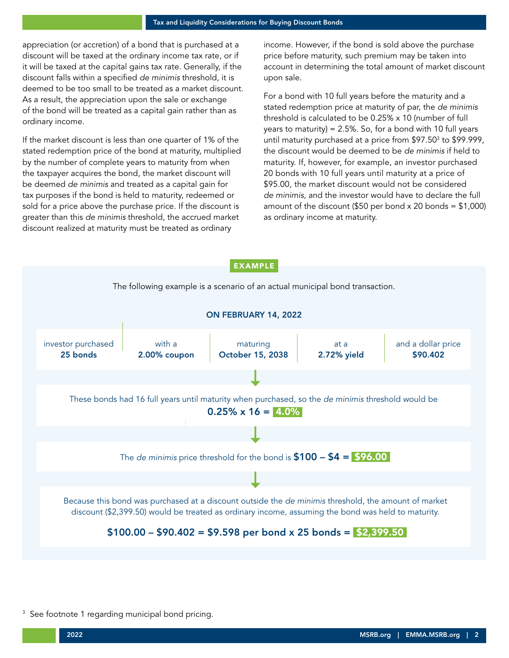appreciation (or accretion) of a bond that is purchased at a discount will be taxed at the ordinary income tax rate, or if it will be taxed at the capital gains tax rate. Generally, if the discount falls within a specified *de minimis* threshold, it is deemed to be too small to be treated as a market discount. As a result, the appreciation upon the sale or exchange of the bond will be treated as a capital gain rather than as ordinary income.

If the market discount is less than one quarter of 1% of the stated redemption price of the bond at maturity, multiplied by the number of complete years to maturity from when the taxpayer acquires the bond, the market discount will be deemed *de minimis* and treated as a capital gain for tax purposes if the bond is held to maturity, redeemed or sold for a price above the purchase price. If the discount is greater than this *de minimis* threshold, the accrued market discount realized at maturity must be treated as ordinary

income. However, if the bond is sold above the purchase price before maturity, such premium may be taken into account in determining the total amount of market discount upon sale.

For a bond with 10 full years before the maturity and a stated redemption price at maturity of par, the *de minimis* threshold is calculated to be 0.25% x 10 (number of full years to maturity) =  $2.5\%$ . So, for a bond with 10 full years until maturity purchased at a price from \$97.503 to \$99.999, the discount would be deemed to be *de minimis* if held to maturity. If, however, for example, an investor purchased 20 bonds with 10 full years until maturity at a price of \$95.00, the market discount would not be considered *de minimis*, and the investor would have to declare the full amount of the discount (\$50 per bond  $x$  20 bonds = \$1,000) as ordinary income at maturity.



<sup>&</sup>lt;sup>3</sup> See footnote 1 regarding municipal bond pricing.